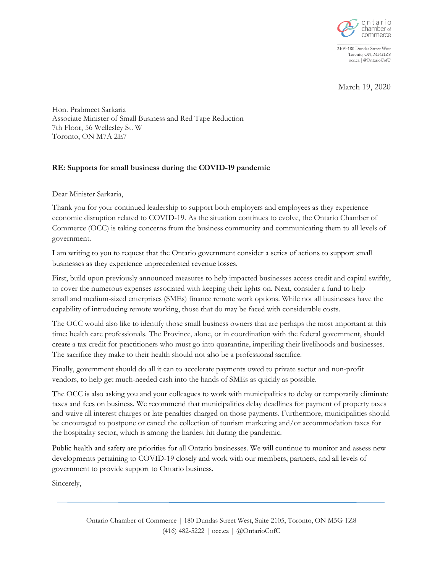

2105-180 Dundas Street West Toronto, ON, M5G1Z8 occ.ca | @OntarioCofC

March 19, 2020

Hon. Prabmeet Sarkaria Associate Minister of Small Business and Red Tape Reduction 7th Floor, 56 Wellesley St. W Toronto, ON M7A 2E7

## **RE: Supports for small business during the COVID-19 pandemic**

Dear Minister Sarkaria,

Thank you for your continued leadership to support both employers and employees as they experience economic disruption related to COVID-19. As the situation continues to evolve, the Ontario Chamber of Commerce (OCC) is taking concerns from the business community and communicating them to all levels of government.

I am writing to you to request that the Ontario government consider a series of actions to support small businesses as they experience unprecedented revenue losses.

First, build upon previously announced measures to help impacted businesses access credit and capital swiftly, to cover the numerous expenses associated with keeping their lights on. Next, consider a fund to help small and medium-sized enterprises (SMEs) finance remote work options. While not all businesses have the capability of introducing remote working, those that do may be faced with considerable costs.

The OCC would also like to identify those small business owners that are perhaps the most important at this time: health care professionals. The Province, alone, or in coordination with the federal government, should create a tax credit for practitioners who must go into quarantine, imperiling their livelihoods and businesses. The sacrifice they make to their health should not also be a professional sacrifice.

Finally, government should do all it can to accelerate payments owed to private sector and non-profit vendors, to help get much-needed cash into the hands of SMEs as quickly as possible.

The OCC is also asking you and your colleagues to work with municipalities to delay or temporarily eliminate taxes and fees on business. We recommend that municipalities delay deadlines for payment of property taxes and waive all interest charges or late penalties charged on those payments. Furthermore, municipalities should be encouraged to postpone or cancel the collection of tourism marketing and/or accommodation taxes for the hospitality sector, which is among the hardest hit during the pandemic.

Public health and safety are priorities for all Ontario businesses. We will continue to monitor and assess new developments pertaining to COVID-19 closely and work with our members, partners, and all levels of government to provide support to Ontario business.

Sincerely,